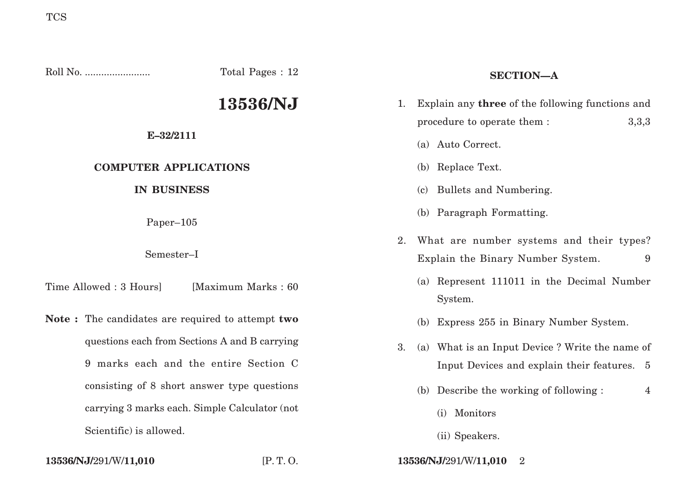Roll No. ........................ Total Pages : 12 **13536/NJ E–32/2111 COMPUTER APPLICATIONS IN BUSINESS** Paper–105 Semester–I Time Allowed : 3 Hours [Maximum Marks : 60] **Note :** The candidates are required to attempt **two** questions each from Sections A and B carrying 9 marks each and the entire Section C consisting of 8 short answer type questions carrying 3 marks each. Simple Calculator (not Scientific) is allowed. **SECTION—A** 1. Explain any **three** of the following functions and procedure to operate them : 3,3,3 (a) Auto Correct. (b) Replace Text. (c) Bullets and Numbering. (b) Paragraph Formatting. 2. What are number systems and their types? Explain the Binary Number System. 9 (a) Represent 111011 in the Decimal Number System. (b) Express 255 in Binary Number System. 3. (a) What is an Input Device ? Write the name of Input Devices and explain their features. 5 (b) Describe the working of following : 4 (i) Monitors

**13536/NJ/**291/W/**11,010** [P. T. O. **13536/NJ/**291/W/**11,010** 2

(ii) Speakers.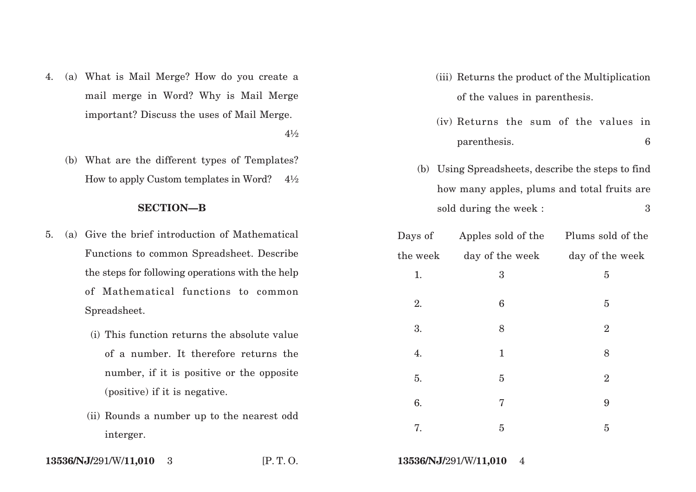4. (a) What is Mail Merge? How do you create a mail merge in Word? Why is Mail Merge important? Discuss the uses of Mail Merge.

 $4\frac{1}{2}$ 

(b) What are the different types of Templates? How to apply Custom templates in Word?  $4\frac{1}{2}$ 

# **SECTION—B**

- 5. (a) Give the brief introduction of Mathematical Functions to common Spreadsheet. Describe the steps for following operations with the help of Mathematical functions to common Spreadsheet.
	- (i) This function returns the absolute value of a number. It therefore returns the number, if it is positive or the opposite (positive) if it is negative.
	- (ii) Rounds a number up to the nearest odd interger.
- (iii) Returns the product of the Multiplication of the values in parenthesis.
- (iv) Returns the sum of the values in parenthesis. 6
- (b) Using Spreadsheets, describe the steps to find how many apples, plums and total fruits are sold during the week : 3

| Days of  | Apples sold of the | Plums sold of the |
|----------|--------------------|-------------------|
| the week | day of the week    | day of the week   |
| 1.       | 3                  | 5                 |
| 2.       | 6                  | 5                 |
| 3.       | 8                  | $\overline{2}$    |
| 4.       | $\mathbf{1}$       | 8                 |
| 5.       | $\overline{5}$     | $\boldsymbol{2}$  |
| 6.       | 7                  | 9                 |
| 7.       | $\overline{5}$     | 5                 |

**13536/NJ/**291/W/**11,010** 3 [P. T. O. **13536/NJ/**291/W/**11,010** 4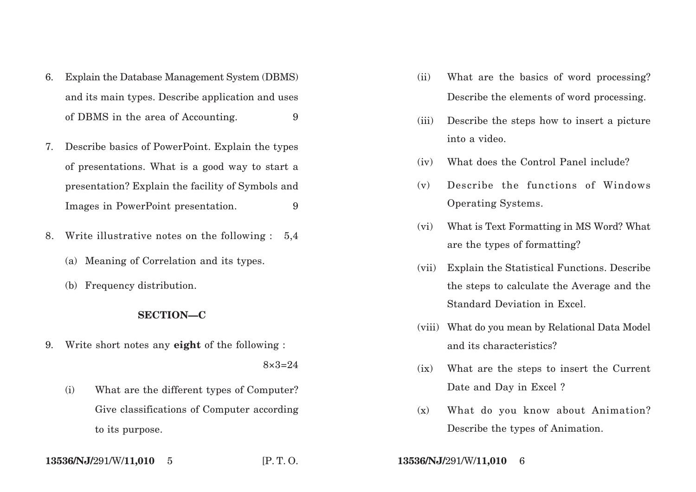- 6. Explain the Database Management System (DBMS) and its main types. Describe application and uses of DBMS in the area of Accounting. 9
- 7. Describe basics of Power Point. Explain the types of presentations. What is a good way to start a presentation? Explain the facility of Symbols and Images in PowerPoint presentation. 9
- 8. Write illustrative notes on the following : 5,4
	- (a) Meaning of Correlation and its types.
	- (b) Frequency distribution.

## **SECTION—C**

9. Write short notes any **eight** of the following :

 $8 \times 3 = 24$ 

(i) What are the different types of Computer? Give classifications of Computer according to its purpose.

- (ii) What are the basics of word processing? Describe the elements of word processing.
- (iii) Describe the steps how to insert a picture into a video.
- (iv) What does the Control Panel include?
- (v) Describe the functions of Windows Operating Systems.
- (vi) What is Text Formatting in MS Word? What are the types of formatting?
- (vii) Explain the Statistical Functions. Describe the steps to calculate the Average and the Standard Deviation in Excel.
- (viii) What do you mean by Relational Data Model and its characteristics?
- (ix) What are the steps to insert the Current Date and Day in Excel ?
- (x) What do you know about Animation? Describe the types of Animation.

**13536/NJ/**291/W/**11,010**

5 [P. T. O. **13536/NJ/**291/W/**11,010** 6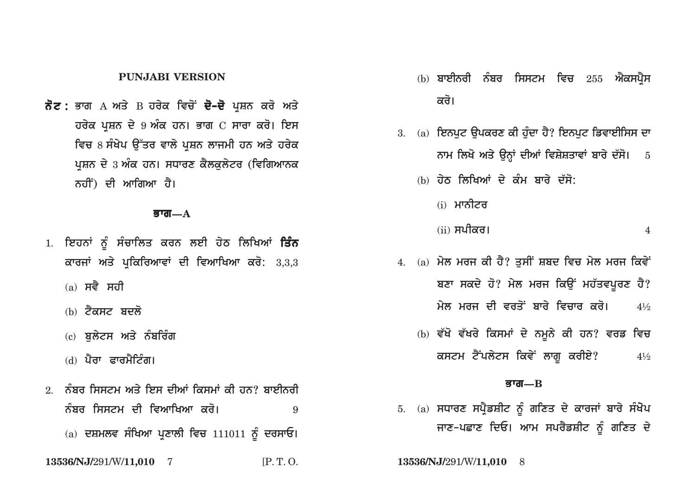### **PUNJABI VERSION**

ਨੋਟ: ਭਾਗ A ਅਤੇ B ਹਰੇਕ ਵਿਚੋਂ ਦੋ-ਦੋ ਪਸ਼ਨ ਕਰੋ ਅਤੇ ਹਰੇਕ ਪੁਸ਼ਨ ਦੇ 9 ਅੰਕ ਹਨ। ਭਾਗ C ਸਾਰਾ ਕਰੋ। ਇਸ ਵਿਚ 8 ਸੰਖੇਪ ਉੱਤਰ ਵਾਲੇ ਪਸ਼ਨ ਲਾਜਮੀ ਹਨ ਅਤੇ ਹਰੇਕ ਪ੍ਰਸ਼ਨ ਦੇ 3 ਅੰਕ ਹਨ। ਸਧਾਰਣ ਕੈਲਕਲੇਟਰ (ਵਿਗਿਆਨਕ ਨਹੀਂ) ਦੀ ਆਗਿਆ ਹੈ।

#### ਭਾਗ $-\mathbf{A}$

- 1. ਇਹਨਾਂ ਨੂੰ ਸੰਚਾਲਿਤ ਕਰਨ ਲਈ ਹੇਠ ਲਿਖਿਆਂ **ਤਿੰਨ** ਕਾਰਜਾਂ ਅਤੇ ਪੁਕਿਰਿਆਵਾਂ ਦੀ ਵਿਆਖਿਆ ਕਰੋ:  $3,3,3$ 
	- $(a)$  ਸਵੈ ਸਹੀ
	- (b) ਟੈਕਸਟ ਬਦਲੋ
	- (c) ਬਲੇਟਸ ਅਤੇ ਨੰਬਰਿੰਗ
	- (d) ਪੈਰਾ ਫਾਰਮੈਟਿੰਗ।
- <u>2 ਨੰਬਰ ਸਿਸਟਮ ਅਤੇ ਇਸ ਦੀਆਂ ਕਿਸਮਾਂ ਕੀ ਹਨ? ਬਾਈਨਰੀ</u> ਨੰਬਰ ਸਿਸਟਮ ਦੀ ਵਿਆਖਿਆ ਕਰੋ। 9 (a) ਦਸ਼ਮਲਵ ਸੰਖਿਆ ਪ੍ਰਣਾਲੀ ਵਿਚ 111011 ਨੂੰ ਦਰਸਾਓ।
- 13536/NJ/291/W/11,010 7  $[P, T, O]$
- $\phi$ ) ਬਾਈਨਰੀ ਨੰਬਰ ਸਿਸਟਮ ਵਿਚ  $255$  ਐਕਸਪੈਸ ਕਰੋ।
- $3.$  (a) ਇਨਪਟ ੳਪਕਰਣ ਕੀ ਹੰਦਾ ਹੈ? ਇਨਪਟ ਡਿਵਾਈਸਿਸ ਦਾ ਨਾਮ ਲਿਖੋ ਅਤੇ ਉਨ੍ਹਾਂ ਦੀਆਂ ਵਿਸ਼ੇਸ਼ਤਾਵਾਂ ਬਾਰੇ ਦੱਸੋ। ਂ 5
	- (b) ਹੇਠ ਲਿਖਿਆਂ ਦੇ ਕੰਮ ਬਾਰੇ ਦੱਸੋ:
		- (i) ਮਾਨੀਟਰ
		- (ii) ਸਪੀਕਰ।  $\overline{4}$
- $4.$  (a) ਮੇਲ ਮਰਜ ਕੀ ਹੈ? ਤਸੀਂ ਸ਼ਬਦ ਵਿਚ ਮੇਲ ਮਰਜ ਕਿਵੇਂ ਬਣਾ ਸਕਦੇ ਹੋ? ਮੇਲ ਮਰਜ ਕਿਉਂ ਮਹੱਤਵਪੂਰਣ ਹੈ? ਮੇਲ ਮਰਜ ਦੀ ਵਰਤੋਂ ਬਾਰੇ ਵਿਜ਼ਾਰ *ਕ*ਰੋ।  $4\frac{1}{2}$ 
	- (b) ਵੱਖੋ ਵੱਖਰੇ ਕਿਸਮਾਂ ਦੇ ਨਮੂਨੇ ਕੀ ਹਨ? ਵਰਡ ਵਿਚ ਕਸਟਮ ਟੈਂਪਲੇਟਸ ਕਿਵੇਂ ਲਾਗੂ ਕਰੀਏ?  $4\frac{1}{2}$

#### ਭਾਗ $R$

5. (a) ਸਧਾਰਣ ਸਪ੍ਰੈਡਸ਼ੀਟ ਨੂੰ ਗਣਿਤ ਦੇ ਕਾਰਜਾਂ ਬਾਰੇ ਸੰਖੋਪ ਜਾਣ-ਪਛਾਣ ਦਿਓ। ਆਮ ਸਪਰੈਡਸ਼ੀਟ ਨੂੰ ਗਣਿਤ ਦੇ

13536/NJ/291/W/11,010 8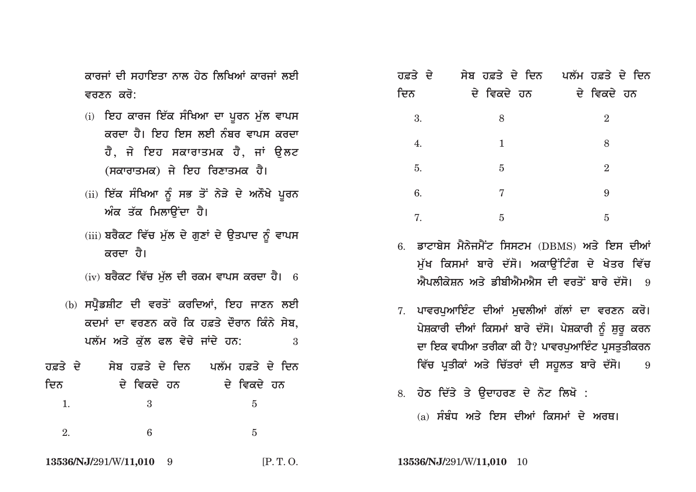<u>ਕਾਰਜਾਂ ਦੀ ਸਹਾਇਤਾ ਨਾਲ ਹੇਨ ਲਿਖਿਆਂ ਕਾਰਜਾਂ ਲਈ</u> ਵਰਣਨ ਕਰੋ:

- (i) ਇਹ ਕਾਰਜ ਇੱਕ ਸੰਖਿਆ ਦਾ ਪੂਰਨ ਮੁੱਲ ਵਾਪਸ <u>ਕਰਦਾ ਹੈ। ਇਹ ਇਸ ਲਈ ਨੰਬਰ ਵਾਪਸ ਕਰਦਾ</u> ਹੈ, ਜੇ ਇਹ ਸਕਾਰਾਤਮਕ ਹੈ, **ਜਾਂ ਉਲ**ਟ (ਸਕਾਰਾਤਮਕ) ਜੇ ਇਹ ਰਿਣਾਤਮਕ **ਹੈ।**
- (ii) ਇੱਕ ਸੰਖਿਆ ਨੂੰ ਸਭ ਤੋਂ ਨੇੜੇ ਦੇ ਅਨੌਖੇ ਪੂਰਨ ਅੰਕ ਤੱਕ ਮਿਲਾੳਂਦਾ ਹੈ।
- (iii) ਬਰੈਕਟ ਵਿੱਚ ਮੁੱਲ ਦੇ ਗੁਣਾਂ ਦੇ ਉਤਪਾਦ ਨੂੰ ਵਾਪਸ <u>ਕਰਦਾ</u> ਹੈ।
- (iv) ਬਰੈਕਟ ਵਿੱਚ ਮੱਲ ਦੀ ਰਕਮ ਵਾਪਸ ਕਰਦਾ ਹੈ। 6
- (b) ਸਪੈਡਸ਼ੀਟ ਦੀ ਵਰਤੋਂ ਕਰਦਿਆਂ, ਇਹ ਜਾਣਨ ਲਈ ਕਦਮਾਂ ਦਾ ਵਰਣਨ ਕਰੋ ਕਿ ਹਫ਼ਤੇ ਦੌਰਾਨ ਕਿੰਨੇ ਸੇ**ਬ**, ਪਲੱਮ ਅਤੇ ਕੱਲ ਫਲ ਵੇਚੇ ਜਾਂਦੇ ਹਨ: 3
- <u>, ਹਫ਼ਤੇ ਦੇ ਸਿਬ ਹਫ਼ਤੇ ਦੇ ਦਿਨ ਪਲੱਮ ਹਫ਼ਤੇ ਦੇ ਦਿਨ</u> **idn dy ivkdy hn dy ivkdy hn** 1. 3 5 2.  $6\qquad 5$

| ਹਫ਼ਤੇ ਦੇ |                | ਸੇਬ ਹਫ਼ਤੇ ਦੇ ਦਿਨ ਪਲੱਮ ਹਫ਼ਤੇ ਦੇ ਦਿਨ |
|----------|----------------|------------------------------------|
| ਦਿਨ      | ਦੇ ਵਿਕਦੇ ਹਨ    | ਦੇ ਵਿਕਦੇ ਹਨ                        |
| 3.       | 8              | $\overline{2}$                     |
| 4.       | 1              | 8                                  |
| 5.       | $\overline{5}$ | $\overline{2}$                     |
| 6.       | 7              | 9                                  |
| 7.       | 5              | 5                                  |

- <u>6. ਡਾਟਾਬੇਸ ਮੈਨੇਜਮੈਂਟ ਸਿਸਟਮ (DBMS) ਅਤੇ ਇਸ ਦੀਆਂ</u> **ਮੱਖ ਕਿਸਮਾਂ ਬਾਰੇ ਦੱਸੋ। ਅਕਾੳਂਟਿੰਗ ਦੇ ਖੇਤਰ ਵਿੱਚ** .<br>*ਐਪ*ਲੀਕੇਸ਼ਨ ਅਤੇ ਡੀਬੀਐਮਐਸ ਦੀ ਵਰਤੋਂ ਬਾਰੇ ਦੱਸੋ। 9
- 7. ਪਾਵਰਪਆਇੰਟ ਦੀਆਂ ਮਢਲੀਆਂ ਗੱਲਾਂ ਦਾ ਵਰਣਨ ਕਰੋ। <u>ਪੇਸ਼ਕਾਰੀ ਦੀਆਂ ਕਿਸਮਾਂ ਬਾਰੇ ਦੱਸੋ। ਪੇਸ਼ਕਾਰੀ ਨੂੰ ਸ਼ੁਰੂ ਕਰਨ</u> ਦਾ ਇਕ ਵਧੀਆ ਤਰੀਕਾ ਕੀ ਹੈ? ਪਾਵਰਪਆਇੰਟ ਪਸਤਤੀਕਰ**ਨ** ਵਿੱਚ ਪ੍ਰਤੀਕਾਂ ਅਤੇ ਚਿੱਤਰਾਂ ਦੀ ਸਹੂਲਤ ਬਾਰੇ ਦੱਸੋ। 9
- 8. ਹੇਠ ਦਿੱਤੇ ਤੇ **ੳਦਾਹਰਣ ਦੇ ਨੋਟ ਲਿਖੋ** :
	- (a) ਸੰਬੰਧ ਅਤੇ ਇਸ ਦੀਆਂ ਕਿਸਮਾਂ ਦੇ ਅਰਥ**।**

**13536/NJ/**291/W/**11,010** 9 [P. T. O. **13536/NJ/**291/W/**11,010** 10